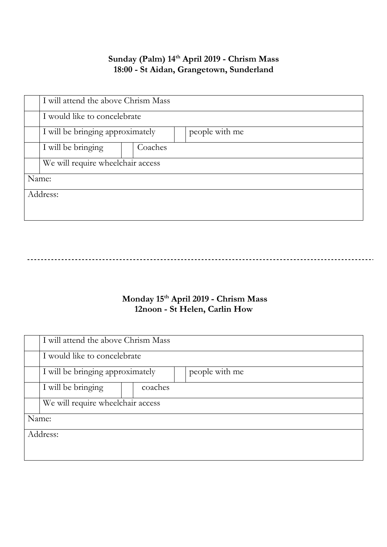### Sunday (Palm) 14<sup>th</sup> April 2019 - Chrism Mass 18:00 - St Aidan, Grangetown, Sunderland

|          | I will attend the above Chrism Mass |         |  |                |  |
|----------|-------------------------------------|---------|--|----------------|--|
|          | I would like to concelebrate        |         |  |                |  |
|          | I will be bringing approximately    |         |  | people with me |  |
|          | I will be bringing                  | Coaches |  |                |  |
|          | We will require wheelchair access   |         |  |                |  |
| Name:    |                                     |         |  |                |  |
| Address: |                                     |         |  |                |  |
|          |                                     |         |  |                |  |

# \_\_\_\_\_\_\_\_\_\_\_\_\_\_\_\_\_\_\_\_\_\_\_\_\_\_\_\_\_\_\_\_

## Monday 15<sup>th</sup> April 2019 - Chrism Mass 12noon - St Helen, Carlin How

|          | I will attend the above Chrism Mass |         |  |                |  |  |
|----------|-------------------------------------|---------|--|----------------|--|--|
|          | I would like to concelebrate        |         |  |                |  |  |
|          | I will be bringing approximately    |         |  | people with me |  |  |
|          | I will be bringing                  | coaches |  |                |  |  |
|          | We will require wheelchair access   |         |  |                |  |  |
| Name:    |                                     |         |  |                |  |  |
| Address: |                                     |         |  |                |  |  |
|          |                                     |         |  |                |  |  |